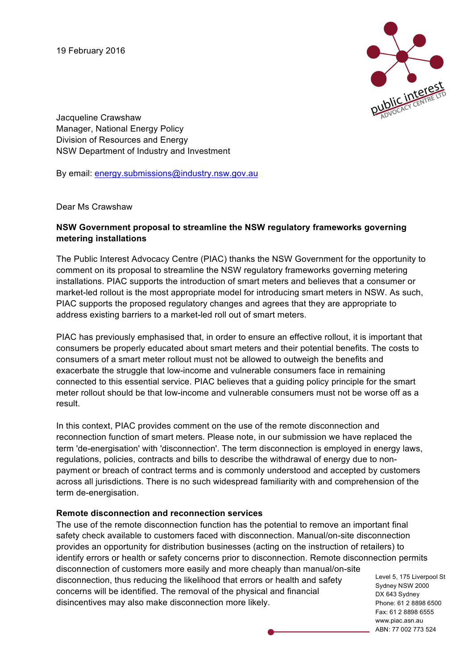19 February 2016



Jacqueline Crawshaw Manager, National Energy Policy Division of Resources and Energy NSW Department of Industry and Investment

By email: energy.submissions@industry.nsw.gov.au

Dear Ms Crawshaw

## **NSW Government proposal to streamline the NSW regulatory frameworks governing metering installations**

The Public Interest Advocacy Centre (PIAC) thanks the NSW Government for the opportunity to comment on its proposal to streamline the NSW regulatory frameworks governing metering installations. PIAC supports the introduction of smart meters and believes that a consumer or market-led rollout is the most appropriate model for introducing smart meters in NSW. As such, PIAC supports the proposed regulatory changes and agrees that they are appropriate to address existing barriers to a market-led roll out of smart meters.

PIAC has previously emphasised that, in order to ensure an effective rollout, it is important that consumers be properly educated about smart meters and their potential benefits. The costs to consumers of a smart meter rollout must not be allowed to outweigh the benefits and exacerbate the struggle that low-income and vulnerable consumers face in remaining connected to this essential service. PIAC believes that a guiding policy principle for the smart meter rollout should be that low-income and vulnerable consumers must not be worse off as a result.

In this context, PIAC provides comment on the use of the remote disconnection and reconnection function of smart meters. Please note, in our submission we have replaced the term 'de-energisation' with 'disconnection'. The term disconnection is employed in energy laws, regulations, policies, contracts and bills to describe the withdrawal of energy due to nonpayment or breach of contract terms and is commonly understood and accepted by customers across all jurisdictions. There is no such widespread familiarity with and comprehension of the term de-energisation.

## **Remote disconnection and reconnection services**

Level 5, 175 Liverpool St Sydney NSW 2000 DX 643 Sydney The use of the remote disconnection function has the potential to remove an important final safety check available to customers faced with disconnection. Manual/on-site disconnection provides an opportunity for distribution businesses (acting on the instruction of retailers) to identify errors or health or safety concerns prior to disconnection. Remote disconnection permits disconnection of customers more easily and more cheaply than manual/on-site disconnection, thus reducing the likelihood that errors or health and safety concerns will be identified. The removal of the physical and financial disincentives may also make disconnection more likely.

Phone: 61 2 8898 6500 Fax: 61 2 8898 6555 www.piac.asn.au ABN: 77 002 773 524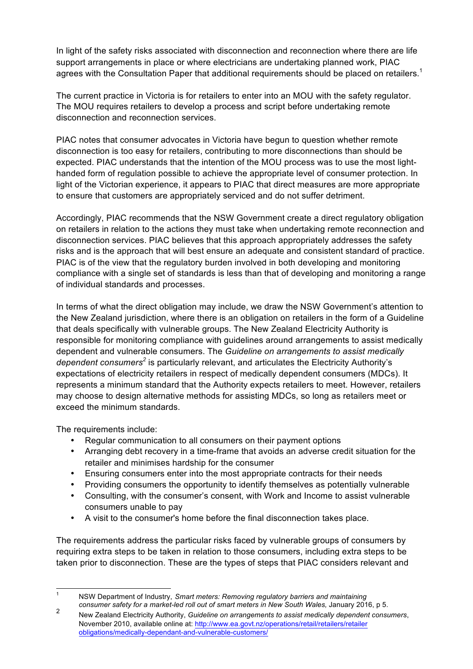In light of the safety risks associated with disconnection and reconnection where there are life support arrangements in place or where electricians are undertaking planned work, PIAC agrees with the Consultation Paper that additional requirements should be placed on retailers.<sup>1</sup>

The current practice in Victoria is for retailers to enter into an MOU with the safety regulator. The MOU requires retailers to develop a process and script before undertaking remote disconnection and reconnection services.

PIAC notes that consumer advocates in Victoria have begun to question whether remote disconnection is too easy for retailers, contributing to more disconnections than should be expected. PIAC understands that the intention of the MOU process was to use the most lighthanded form of regulation possible to achieve the appropriate level of consumer protection. In light of the Victorian experience, it appears to PIAC that direct measures are more appropriate to ensure that customers are appropriately serviced and do not suffer detriment.

Accordingly, PIAC recommends that the NSW Government create a direct regulatory obligation on retailers in relation to the actions they must take when undertaking remote reconnection and disconnection services. PIAC believes that this approach appropriately addresses the safety risks and is the approach that will best ensure an adequate and consistent standard of practice. PIAC is of the view that the regulatory burden involved in both developing and monitoring compliance with a single set of standards is less than that of developing and monitoring a range of individual standards and processes.

In terms of what the direct obligation may include, we draw the NSW Government's attention to the New Zealand jurisdiction, where there is an obligation on retailers in the form of a Guideline that deals specifically with vulnerable groups. The New Zealand Electricity Authority is responsible for monitoring compliance with guidelines around arrangements to assist medically dependent and vulnerable consumers. The *Guideline on arrangements to assist medically dependent consumers<sup>2</sup>* is particularly relevant, and articulates the Electricity Authority's expectations of electricity retailers in respect of medically dependent consumers (MDCs). It represents a minimum standard that the Authority expects retailers to meet. However, retailers may choose to design alternative methods for assisting MDCs, so long as retailers meet or exceed the minimum standards.

The requirements include:

- Regular communication to all consumers on their payment options
- Arranging debt recovery in a time-frame that avoids an adverse credit situation for the retailer and minimises hardship for the consumer
- Ensuring consumers enter into the most appropriate contracts for their needs
- Providing consumers the opportunity to identify themselves as potentially vulnerable
- Consulting, with the consumer's consent, with Work and Income to assist vulnerable consumers unable to pay
- A visit to the consumer's home before the final disconnection takes place.

The requirements address the particular risks faced by vulnerable groups of consumers by requiring extra steps to be taken in relation to those consumers, including extra steps to be taken prior to disconnection. These are the types of steps that PIAC considers relevant and

 <sup>1</sup> NSW Department of Industry, *Smart meters: Removing regulatory barriers and maintaining* 

*consumer safety for a market-led roll out of smart meters in New South Wales, January 2016, p 5.*<br>New Zealand Electricity Authority, *Guideline on arrangements to assist medically dependent consumers*, November 2010, available online at: http://www.ea.govt.nz/operations/retail/retailers/retailer obligations/medically-dependant-and-vulnerable-customers/